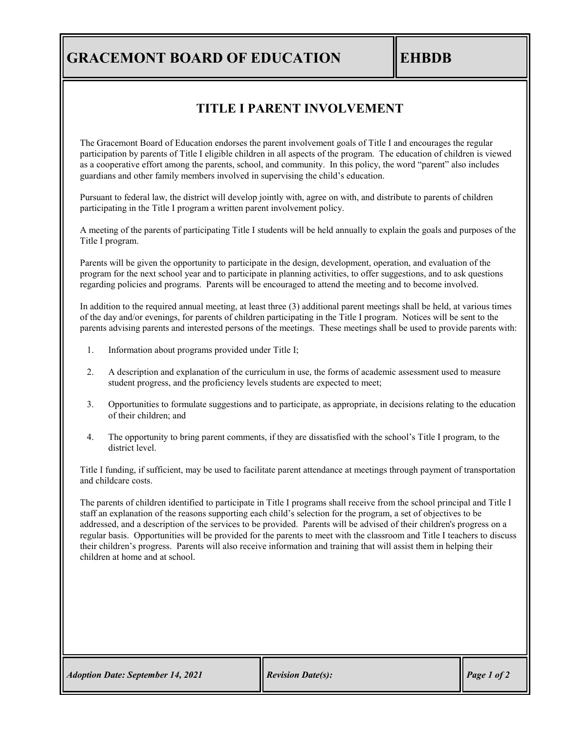## **GRACEMONT BOARD OF EDUCATION EHBDB**

### **TITLE I PARENT INVOLVEMENT**

The Gracemont Board of Education endorses the parent involvement goals of Title I and encourages the regular participation by parents of Title I eligible children in all aspects of the program. The education of children is viewed as a cooperative effort among the parents, school, and community. In this policy, the word "parent" also includes guardians and other family members involved in supervising the child's education.

Pursuant to federal law, the district will develop jointly with, agree on with, and distribute to parents of children participating in the Title I program a written parent involvement policy.

A meeting of the parents of participating Title I students will be held annually to explain the goals and purposes of the Title I program.

Parents will be given the opportunity to participate in the design, development, operation, and evaluation of the program for the next school year and to participate in planning activities, to offer suggestions, and to ask questions regarding policies and programs. Parents will be encouraged to attend the meeting and to become involved.

In addition to the required annual meeting, at least three (3) additional parent meetings shall be held, at various times of the day and/or evenings, for parents of children participating in the Title I program. Notices will be sent to the parents advising parents and interested persons of the meetings. These meetings shall be used to provide parents with:

- 1. Information about programs provided under Title I;
- 2. A description and explanation of the curriculum in use, the forms of academic assessment used to measure student progress, and the proficiency levels students are expected to meet;
- 3. Opportunities to formulate suggestions and to participate, as appropriate, in decisions relating to the education of their children; and
- 4. The opportunity to bring parent comments, if they are dissatisfied with the school's Title I program, to the district level.

Title I funding, if sufficient, may be used to facilitate parent attendance at meetings through payment of transportation and childcare costs.

The parents of children identified to participate in Title I programs shall receive from the school principal and Title I staff an explanation of the reasons supporting each child's selection for the program, a set of objectives to be addressed, and a description of the services to be provided. Parents will be advised of their children's progress on a regular basis. Opportunities will be provided for the parents to meet with the classroom and Title I teachers to discuss their children's progress. Parents will also receive information and training that will assist them in helping their children at home and at school.